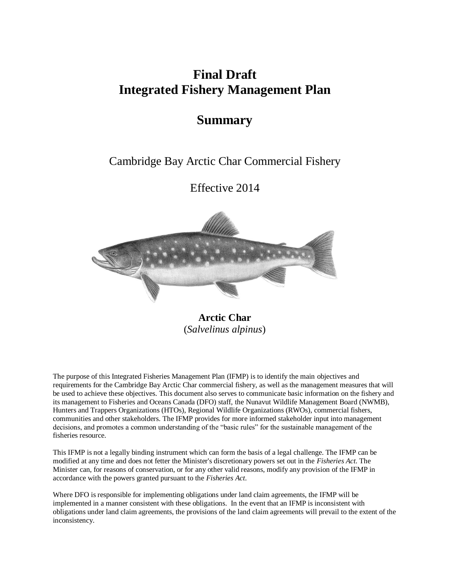# **Final Draft Integrated Fishery Management Plan**

# **Summary**

# Cambridge Bay Arctic Char Commercial Fishery

Effective 2014



**Arctic Char** (*Salvelinus alpinus*)

The purpose of this Integrated Fisheries Management Plan (IFMP) is to identify the main objectives and requirements for the Cambridge Bay Arctic Char commercial fishery, as well as the management measures that will be used to achieve these objectives. This document also serves to communicate basic information on the fishery and its management to Fisheries and Oceans Canada (DFO) staff, the Nunavut Wildlife Management Board (NWMB), Hunters and Trappers Organizations (HTOs), Regional Wildlife Organizations (RWOs), commercial fishers, communities and other stakeholders. The IFMP provides for more informed stakeholder input into management decisions, and promotes a common understanding of the "basic rules" for the sustainable management of the fisheries resource.

This IFMP is not a legally binding instrument which can form the basis of a legal challenge. The IFMP can be modified at any time and does not fetter the Minister's discretionary powers set out in the *Fisheries Act*. The Minister can, for reasons of conservation, or for any other valid reasons, modify any provision of the IFMP in accordance with the powers granted pursuant to the *Fisheries Act*.

Where DFO is responsible for implementing obligations under land claim agreements, the IFMP will be implemented in a manner consistent with these obligations. In the event that an IFMP is inconsistent with obligations under land claim agreements, the provisions of the land claim agreements will prevail to the extent of the inconsistency.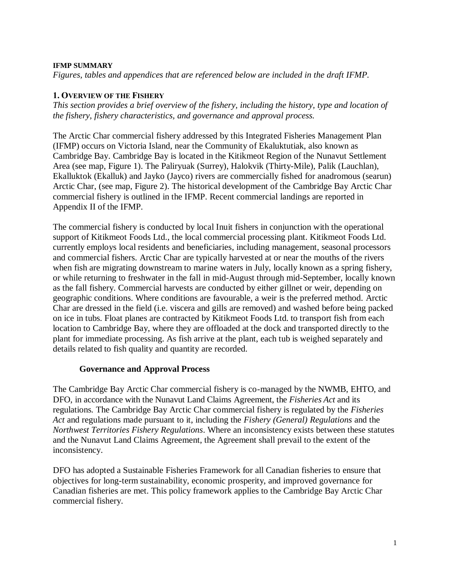### **IFMP SUMMARY**

*Figures, tables and appendices that are referenced below are included in the draft IFMP.*

# **1. OVERVIEW OF THE FISHERY**

*This section provides a brief overview of the fishery, including the history, type and location of the fishery, fishery characteristics, and governance and approval process.*

The Arctic Char commercial fishery addressed by this Integrated Fisheries Management Plan (IFMP) occurs on Victoria Island, near the Community of Ekaluktutiak, also known as Cambridge Bay. Cambridge Bay is located in the Kitikmeot Region of the Nunavut Settlement Area (see map, Figure 1). The Paliryuak (Surrey), Halokvik (Thirty-Mile), Palik (Lauchlan), Ekalluktok (Ekalluk) and Jayko (Jayco) rivers are commercially fished for anadromous (searun) Arctic Char, (see map, Figure 2). The historical development of the Cambridge Bay Arctic Char commercial fishery is outlined in the IFMP. Recent commercial landings are reported in Appendix II of the IFMP.

The commercial fishery is conducted by local Inuit fishers in conjunction with the operational support of Kitikmeot Foods Ltd., the local commercial processing plant. Kitikmeot Foods Ltd. currently employs local residents and beneficiaries, including management, seasonal processors and commercial fishers. Arctic Char are typically harvested at or near the mouths of the rivers when fish are migrating downstream to marine waters in July, locally known as a spring fishery, or while returning to freshwater in the fall in mid-August through mid-September, locally known as the fall fishery. Commercial harvests are conducted by either gillnet or weir, depending on geographic conditions. Where conditions are favourable, a weir is the preferred method. Arctic Char are dressed in the field (i.e. viscera and gills are removed) and washed before being packed on ice in tubs. Float planes are contracted by Kitikmeot Foods Ltd. to transport fish from each location to Cambridge Bay, where they are offloaded at the dock and transported directly to the plant for immediate processing. As fish arrive at the plant, each tub is weighed separately and details related to fish quality and quantity are recorded.

# **Governance and Approval Process**

The Cambridge Bay Arctic Char commercial fishery is co-managed by the NWMB, EHTO, and DFO, in accordance with the Nunavut Land Claims Agreement, the *Fisheries Act* and its regulations*.* The Cambridge Bay Arctic Char commercial fishery is regulated by the *Fisheries Act* and regulations made pursuant to it, including the *Fishery (General) Regulations* and the *Northwest Territories Fishery Regulations*. Where an inconsistency exists between these statutes and the Nunavut Land Claims Agreement, the Agreement shall prevail to the extent of the inconsistency.

DFO has adopted a Sustainable Fisheries Framework for all Canadian fisheries to ensure that objectives for long-term sustainability, economic prosperity, and improved governance for Canadian fisheries are met. This policy framework applies to the Cambridge Bay Arctic Char commercial fishery.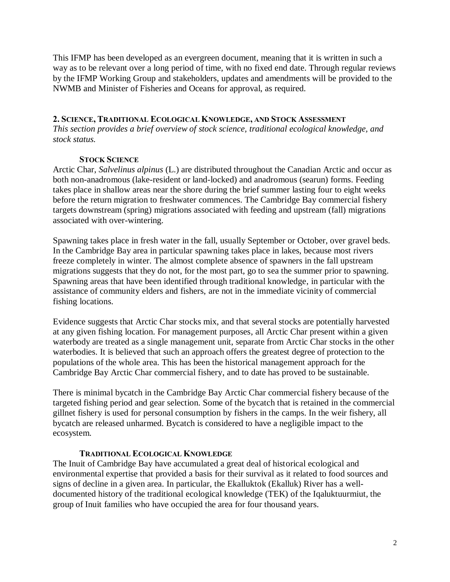This IFMP has been developed as an evergreen document, meaning that it is written in such a way as to be relevant over a long period of time, with no fixed end date. Through regular reviews by the IFMP Working Group and stakeholders, updates and amendments will be provided to the NWMB and Minister of Fisheries and Oceans for approval, as required.

# **2. SCIENCE, TRADITIONAL ECOLOGICAL KNOWLEDGE, AND STOCK ASSESSMENT**

*This section provides a brief overview of stock science, traditional ecological knowledge, and stock status.*

# **STOCK SCIENCE**

Arctic Char, *Salvelinus alpinus* (L.) are distributed throughout the Canadian Arctic and occur as both non-anadromous (lake-resident or land-locked) and anadromous (searun) forms. Feeding takes place in shallow areas near the shore during the brief summer lasting four to eight weeks before the return migration to freshwater commences. The Cambridge Bay commercial fishery targets downstream (spring) migrations associated with feeding and upstream (fall) migrations associated with over-wintering.

Spawning takes place in fresh water in the fall, usually September or October, over gravel beds. In the Cambridge Bay area in particular spawning takes place in lakes, because most rivers freeze completely in winter. The almost complete absence of spawners in the fall upstream migrations suggests that they do not, for the most part, go to sea the summer prior to spawning. Spawning areas that have been identified through traditional knowledge, in particular with the assistance of community elders and fishers, are not in the immediate vicinity of commercial fishing locations.

Evidence suggests that Arctic Char stocks mix, and that several stocks are potentially harvested at any given fishing location. For management purposes, all Arctic Char present within a given waterbody are treated as a single management unit, separate from Arctic Char stocks in the other waterbodies. It is believed that such an approach offers the greatest degree of protection to the populations of the whole area. This has been the historical management approach for the Cambridge Bay Arctic Char commercial fishery, and to date has proved to be sustainable.

There is minimal bycatch in the Cambridge Bay Arctic Char commercial fishery because of the targeted fishing period and gear selection. Some of the bycatch that is retained in the commercial gillnet fishery is used for personal consumption by fishers in the camps. In the weir fishery, all bycatch are released unharmed. Bycatch is considered to have a negligible impact to the ecosystem.

# **TRADITIONAL ECOLOGICAL KNOWLEDGE**

The Inuit of Cambridge Bay have accumulated a great deal of historical ecological and environmental expertise that provided a basis for their survival as it related to food sources and signs of decline in a given area. In particular, the Ekalluktok (Ekalluk) River has a welldocumented history of the traditional ecological knowledge (TEK) of the Iqaluktuurmiut, the group of Inuit families who have occupied the area for four thousand years.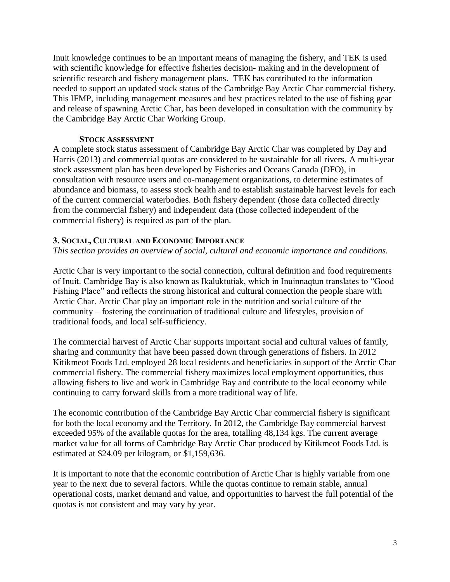Inuit knowledge continues to be an important means of managing the fishery, and TEK is used with scientific knowledge for effective fisheries decision- making and in the development of scientific research and fishery management plans. TEK has contributed to the information needed to support an updated stock status of the Cambridge Bay Arctic Char commercial fishery. This IFMP, including management measures and best practices related to the use of fishing gear and release of spawning Arctic Char, has been developed in consultation with the community by the Cambridge Bay Arctic Char Working Group.

#### **STOCK ASSESSMENT**

A complete stock status assessment of Cambridge Bay Arctic Char was completed by Day and Harris (2013) and commercial quotas are considered to be sustainable for all rivers. A multi-year stock assessment plan has been developed by Fisheries and Oceans Canada (DFO), in consultation with resource users and co-management organizations, to determine estimates of abundance and biomass, to assess stock health and to establish sustainable harvest levels for each of the current commercial waterbodies. Both fishery dependent (those data collected directly from the commercial fishery) and independent data (those collected independent of the commercial fishery) is required as part of the plan.

# **3. SOCIAL, CULTURAL AND ECONOMIC IMPORTANCE**

*This section provides an overview of social, cultural and economic importance and conditions.*

Arctic Char is very important to the social connection, cultural definition and food requirements of Inuit. Cambridge Bay is also known as Ikaluktutiak, which in Inuinnaqtun translates to "Good Fishing Place" and reflects the strong historical and cultural connection the people share with Arctic Char. Arctic Char play an important role in the nutrition and social culture of the community – fostering the continuation of traditional culture and lifestyles, provision of traditional foods, and local self-sufficiency.

The commercial harvest of Arctic Char supports important social and cultural values of family, sharing and community that have been passed down through generations of fishers. In 2012 Kitikmeot Foods Ltd. employed 28 local residents and beneficiaries in support of the Arctic Char commercial fishery. The commercial fishery maximizes local employment opportunities, thus allowing fishers to live and work in Cambridge Bay and contribute to the local economy while continuing to carry forward skills from a more traditional way of life.

The economic contribution of the Cambridge Bay Arctic Char commercial fishery is significant for both the local economy and the Territory. In 2012, the Cambridge Bay commercial harvest exceeded 95% of the available quotas for the area, totalling 48,134 kgs. The current average market value for all forms of Cambridge Bay Arctic Char produced by Kitikmeot Foods Ltd. is estimated at \$24.09 per kilogram, or \$1,159,636.

It is important to note that the economic contribution of Arctic Char is highly variable from one year to the next due to several factors. While the quotas continue to remain stable, annual operational costs, market demand and value, and opportunities to harvest the full potential of the quotas is not consistent and may vary by year.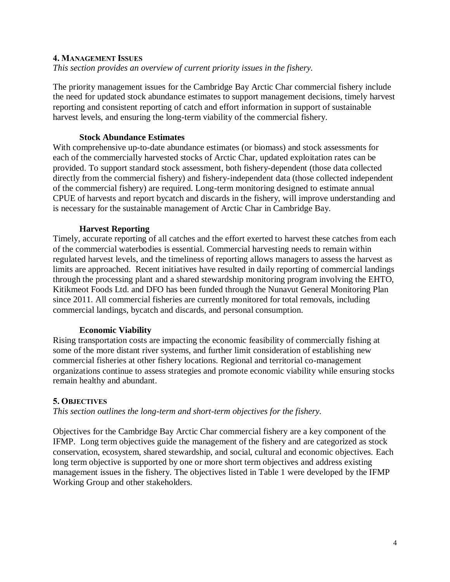### **4. MANAGEMENT ISSUES**

*This section provides an overview of current priority issues in the fishery.*

The priority management issues for the Cambridge Bay Arctic Char commercial fishery include the need for updated stock abundance estimates to support management decisions, timely harvest reporting and consistent reporting of catch and effort information in support of sustainable harvest levels, and ensuring the long-term viability of the commercial fishery.

#### **Stock Abundance Estimates**

With comprehensive up-to-date abundance estimates (or biomass) and stock assessments for each of the commercially harvested stocks of Arctic Char, updated exploitation rates can be provided. To support standard stock assessment, both fishery-dependent (those data collected directly from the commercial fishery) and fishery-independent data (those collected independent of the commercial fishery) are required. Long-term monitoring designed to estimate annual CPUE of harvests and report bycatch and discards in the fishery, will improve understanding and is necessary for the sustainable management of Arctic Char in Cambridge Bay.

#### **Harvest Reporting**

Timely, accurate reporting of all catches and the effort exerted to harvest these catches from each of the commercial waterbodies is essential. Commercial harvesting needs to remain within regulated harvest levels, and the timeliness of reporting allows managers to assess the harvest as limits are approached. Recent initiatives have resulted in daily reporting of commercial landings through the processing plant and a shared stewardship monitoring program involving the EHTO, Kitikmeot Foods Ltd. and DFO has been funded through the Nunavut General Monitoring Plan since 2011. All commercial fisheries are currently monitored for total removals, including commercial landings, bycatch and discards, and personal consumption.

#### **Economic Viability**

Rising transportation costs are impacting the economic feasibility of commercially fishing at some of the more distant river systems, and further limit consideration of establishing new commercial fisheries at other fishery locations. Regional and territorial co-management organizations continue to assess strategies and promote economic viability while ensuring stocks remain healthy and abundant.

# **5. OBJECTIVES**

*This section outlines the long-term and short-term objectives for the fishery.*

Objectives for the Cambridge Bay Arctic Char commercial fishery are a key component of the IFMP. Long term objectives guide the management of the fishery and are categorized as stock conservation, ecosystem, shared stewardship, and social, cultural and economic objectives. Each long term objective is supported by one or more short term objectives and address existing management issues in the fishery. The objectives listed in Table 1 were developed by the IFMP Working Group and other stakeholders.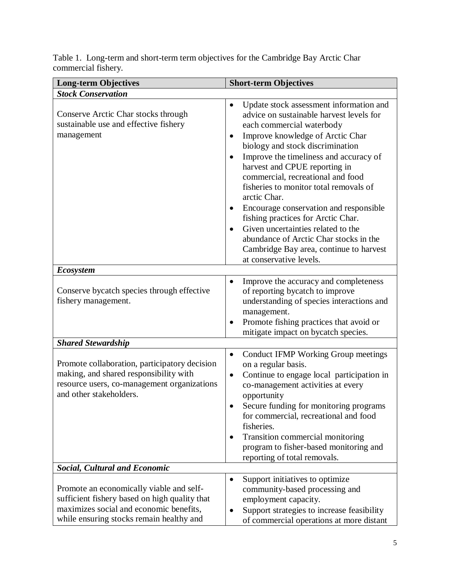| <b>Long-term Objectives</b>                                                                                                                                                      | <b>Short-term Objectives</b>                                                                                                                                                                                                                                                                                                                                                                                                                                                                                                                                                                                                                    |
|----------------------------------------------------------------------------------------------------------------------------------------------------------------------------------|-------------------------------------------------------------------------------------------------------------------------------------------------------------------------------------------------------------------------------------------------------------------------------------------------------------------------------------------------------------------------------------------------------------------------------------------------------------------------------------------------------------------------------------------------------------------------------------------------------------------------------------------------|
| <b>Stock Conservation</b>                                                                                                                                                        |                                                                                                                                                                                                                                                                                                                                                                                                                                                                                                                                                                                                                                                 |
| Conserve Arctic Char stocks through<br>sustainable use and effective fishery<br>management                                                                                       | Update stock assessment information and<br>$\bullet$<br>advice on sustainable harvest levels for<br>each commercial waterbody<br>Improve knowledge of Arctic Char<br>$\bullet$<br>biology and stock discrimination<br>Improve the timeliness and accuracy of<br>$\bullet$<br>harvest and CPUE reporting in<br>commercial, recreational and food<br>fisheries to monitor total removals of<br>arctic Char.<br>Encourage conservation and responsible<br>fishing practices for Arctic Char.<br>Given uncertainties related to the<br>abundance of Arctic Char stocks in the<br>Cambridge Bay area, continue to harvest<br>at conservative levels. |
| <b>Ecosystem</b>                                                                                                                                                                 |                                                                                                                                                                                                                                                                                                                                                                                                                                                                                                                                                                                                                                                 |
| Conserve bycatch species through effective<br>fishery management.                                                                                                                | Improve the accuracy and completeness<br>$\bullet$<br>of reporting bycatch to improve<br>understanding of species interactions and<br>management.<br>Promote fishing practices that avoid or<br>$\bullet$<br>mitigate impact on bycatch species.                                                                                                                                                                                                                                                                                                                                                                                                |
| <b>Shared Stewardship</b>                                                                                                                                                        |                                                                                                                                                                                                                                                                                                                                                                                                                                                                                                                                                                                                                                                 |
| Promote collaboration, participatory decision<br>making, and shared responsibility with<br>resource users, co-management organizations<br>and other stakeholders.                | Conduct IFMP Working Group meetings<br>$\bullet$<br>on a regular basis.<br>Continue to engage local participation in<br>٠<br>co-management activities at every<br>opportunity<br>Secure funding for monitoring programs<br>for commercial, recreational and food<br>fisheries.<br>Transition commercial monitoring<br>program to fisher-based monitoring and<br>reporting of total removals.                                                                                                                                                                                                                                                    |
| <b>Social, Cultural and Economic</b>                                                                                                                                             |                                                                                                                                                                                                                                                                                                                                                                                                                                                                                                                                                                                                                                                 |
| Promote an economically viable and self-<br>sufficient fishery based on high quality that<br>maximizes social and economic benefits,<br>while ensuring stocks remain healthy and | Support initiatives to optimize<br>$\bullet$<br>community-based processing and<br>employment capacity.<br>Support strategies to increase feasibility<br>$\bullet$<br>of commercial operations at more distant                                                                                                                                                                                                                                                                                                                                                                                                                                   |

Table 1. Long-term and short-term term objectives for the Cambridge Bay Arctic Char commercial fishery.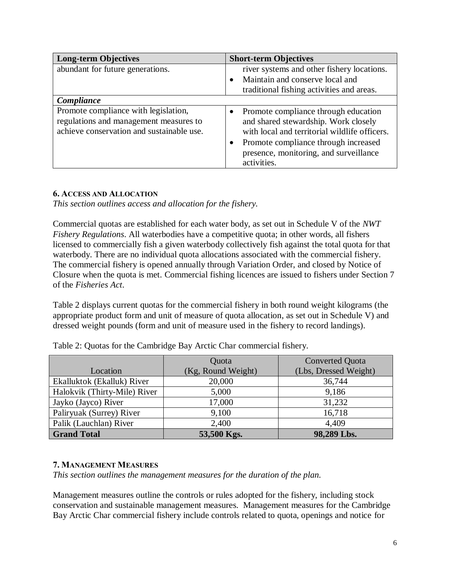| <b>Long-term Objectives</b>                                                                                                 | <b>Short-term Objectives</b>                                                                                                                                                                                                   |
|-----------------------------------------------------------------------------------------------------------------------------|--------------------------------------------------------------------------------------------------------------------------------------------------------------------------------------------------------------------------------|
| abundant for future generations.                                                                                            | river systems and other fishery locations.                                                                                                                                                                                     |
|                                                                                                                             | Maintain and conserve local and                                                                                                                                                                                                |
|                                                                                                                             | traditional fishing activities and areas.                                                                                                                                                                                      |
| Compliance                                                                                                                  |                                                                                                                                                                                                                                |
| Promote compliance with legislation,<br>regulations and management measures to<br>achieve conservation and sustainable use. | Promote compliance through education<br>and shared stewardship. Work closely<br>with local and territorial wildlife officers.<br>Promote compliance through increased<br>presence, monitoring, and surveillance<br>activities. |

# **6. ACCESS AND ALLOCATION**

*This section outlines access and allocation for the fishery.*

Commercial quotas are established for each water body, as set out in Schedule V of the *NWT Fishery Regulations*. All waterbodies have a competitive quota; in other words, all fishers licensed to commercially fish a given waterbody collectively fish against the total quota for that waterbody. There are no individual quota allocations associated with the commercial fishery. The commercial fishery is opened annually through Variation Order, and closed by Notice of Closure when the quota is met. Commercial fishing licences are issued to fishers under Section 7 of the *Fisheries Act*.

Table 2 displays current quotas for the commercial fishery in both round weight kilograms (the appropriate product form and unit of measure of quota allocation, as set out in Schedule V) and dressed weight pounds (form and unit of measure used in the fishery to record landings).

|                              | Quota              | <b>Converted Quota</b> |
|------------------------------|--------------------|------------------------|
| Location                     | (Kg, Round Weight) | (Lbs, Dressed Weight)  |
| Ekalluktok (Ekalluk) River   | 20,000             | 36,744                 |
| Halokvik (Thirty-Mile) River | 5,000              | 9,186                  |
| Jayko (Jayco) River          | 17,000             | 31,232                 |
| Paliryuak (Surrey) River     | 9,100              | 16,718                 |
| Palik (Lauchlan) River       | 2,400              | 4,409                  |
| <b>Grand Total</b>           | 53,500 Kgs.        | 98,289 Lbs.            |

Table 2: Quotas for the Cambridge Bay Arctic Char commercial fishery.

# **7. MANAGEMENT MEASURES**

*This section outlines the management measures for the duration of the plan.*

Management measures outline the controls or rules adopted for the fishery, including stock conservation and sustainable management measures. Management measures for the Cambridge Bay Arctic Char commercial fishery include controls related to quota, openings and notice for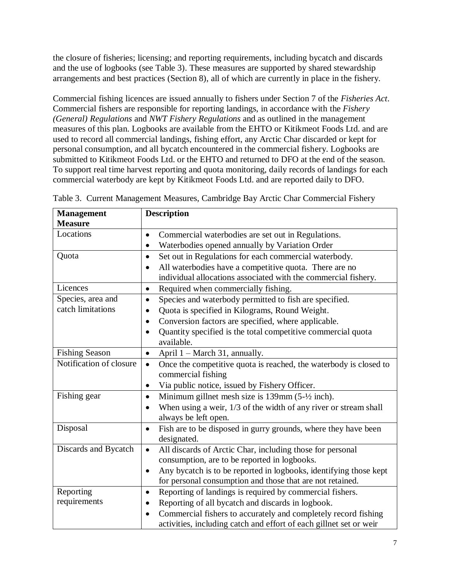the closure of fisheries; licensing; and reporting requirements, including bycatch and discards and the use of logbooks (see Table 3). These measures are supported by shared stewardship arrangements and best practices (Section 8), all of which are currently in place in the fishery.

Commercial fishing licences are issued annually to fishers under Section 7 of the *Fisheries Act*. Commercial fishers are responsible for reporting landings, in accordance with the *Fishery (General) Regulations* and *NWT Fishery Regulations* and as outlined in the management measures of this plan. Logbooks are available from the EHTO or Kitikmeot Foods Ltd. and are used to record all commercial landings, fishing effort, any Arctic Char discarded or kept for personal consumption, and all bycatch encountered in the commercial fishery. Logbooks are submitted to Kitikmeot Foods Ltd. or the EHTO and returned to DFO at the end of the season. To support real time harvest reporting and quota monitoring, daily records of landings for each commercial waterbody are kept by Kitikmeot Foods Ltd. and are reported daily to DFO.

| <b>Management</b><br><b>Measure</b>    | <b>Description</b>                                                                                                                                                                                                                                                      |
|----------------------------------------|-------------------------------------------------------------------------------------------------------------------------------------------------------------------------------------------------------------------------------------------------------------------------|
| Locations                              | Commercial waterbodies are set out in Regulations.<br>$\bullet$<br>Waterbodies opened annually by Variation Order                                                                                                                                                       |
| Quota                                  | Set out in Regulations for each commercial waterbody.<br>$\bullet$<br>All waterbodies have a competitive quota. There are no<br>$\bullet$<br>individual allocations associated with the commercial fishery.                                                             |
| Licences                               | Required when commercially fishing.<br>$\bullet$                                                                                                                                                                                                                        |
| Species, area and<br>catch limitations | Species and waterbody permitted to fish are specified.<br>$\bullet$<br>Quota is specified in Kilograms, Round Weight.<br>Conversion factors are specified, where applicable.<br>$\bullet$<br>Quantity specified is the total competitive commercial quota<br>available. |
| <b>Fishing Season</b>                  | April 1 – March 31, annually.<br>$\bullet$                                                                                                                                                                                                                              |
| Notification of closure                | Once the competitive quota is reached, the waterbody is closed to<br>$\bullet$<br>commercial fishing<br>Via public notice, issued by Fishery Officer.<br>$\bullet$                                                                                                      |
| Fishing gear                           | Minimum gillnet mesh size is 139mm (5-1/2 inch).<br>$\bullet$<br>When using a weir, 1/3 of the width of any river or stream shall<br>$\bullet$<br>always be left open.                                                                                                  |
| Disposal                               | Fish are to be disposed in gurry grounds, where they have been<br>$\bullet$<br>designated.                                                                                                                                                                              |
| Discards and Bycatch                   | All discards of Arctic Char, including those for personal<br>$\bullet$<br>consumption, are to be reported in logbooks.<br>Any bycatch is to be reported in logbooks, identifying those kept<br>for personal consumption and those that are not retained.                |
| Reporting<br>requirements              | Reporting of landings is required by commercial fishers.<br>$\bullet$<br>Reporting of all bycatch and discards in logbook.<br>Commercial fishers to accurately and completely record fishing<br>activities, including catch and effort of each gillnet set or weir      |

Table 3. Current Management Measures, Cambridge Bay Arctic Char Commercial Fishery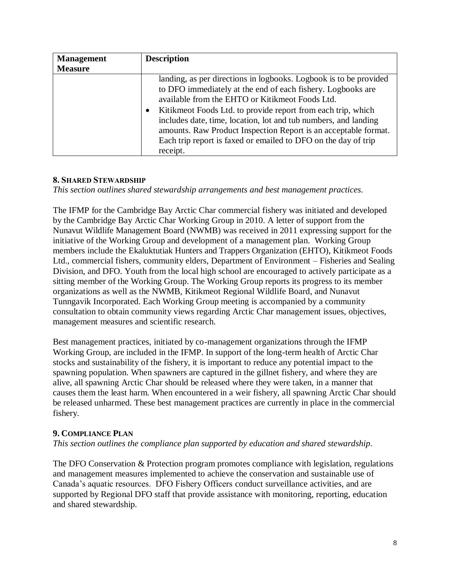| <b>Management</b> | <b>Description</b>                                                                                                                                                                                                                                                                                                                                                                                                                                                      |
|-------------------|-------------------------------------------------------------------------------------------------------------------------------------------------------------------------------------------------------------------------------------------------------------------------------------------------------------------------------------------------------------------------------------------------------------------------------------------------------------------------|
| <b>Measure</b>    |                                                                                                                                                                                                                                                                                                                                                                                                                                                                         |
|                   | landing, as per directions in logbooks. Logbook is to be provided<br>to DFO immediately at the end of each fishery. Logbooks are<br>available from the EHTO or Kitikmeot Foods Ltd.<br>Kitikmeot Foods Ltd. to provide report from each trip, which<br>includes date, time, location, lot and tub numbers, and landing<br>amounts. Raw Product Inspection Report is an acceptable format.<br>Each trip report is faxed or emailed to DFO on the day of trip<br>receipt. |

# **8. SHARED STEWARDSHIP**

*This section outlines shared stewardship arrangements and best management practices.* 

The IFMP for the Cambridge Bay Arctic Char commercial fishery was initiated and developed by the Cambridge Bay Arctic Char Working Group in 2010. A letter of support from the Nunavut Wildlife Management Board (NWMB) was received in 2011 expressing support for the initiative of the Working Group and development of a management plan. Working Group members include the Ekaluktutiak Hunters and Trappers Organization (EHTO), Kitikmeot Foods Ltd., commercial fishers, community elders, Department of Environment – Fisheries and Sealing Division, and DFO. Youth from the local high school are encouraged to actively participate as a sitting member of the Working Group. The Working Group reports its progress to its member organizations as well as the NWMB, Kitikmeot Regional Wildlife Board, and Nunavut Tunngavik Incorporated. Each Working Group meeting is accompanied by a community consultation to obtain community views regarding Arctic Char management issues, objectives, management measures and scientific research.

Best management practices, initiated by co-management organizations through the IFMP Working Group, are included in the IFMP. In support of the long-term health of Arctic Char stocks and sustainability of the fishery, it is important to reduce any potential impact to the spawning population. When spawners are captured in the gillnet fishery, and where they are alive, all spawning Arctic Char should be released where they were taken, in a manner that causes them the least harm. When encountered in a weir fishery, all spawning Arctic Char should be released unharmed. These best management practices are currently in place in the commercial fishery.

# **9. COMPLIANCE PLAN**

*This section outlines the compliance plan supported by education and shared stewardship.* 

The DFO Conservation & Protection program promotes compliance with legislation, regulations and management measures implemented to achieve the conservation and sustainable use of Canada's aquatic resources. DFO Fishery Officers conduct surveillance activities, and are supported by Regional DFO staff that provide assistance with monitoring, reporting, education and shared stewardship.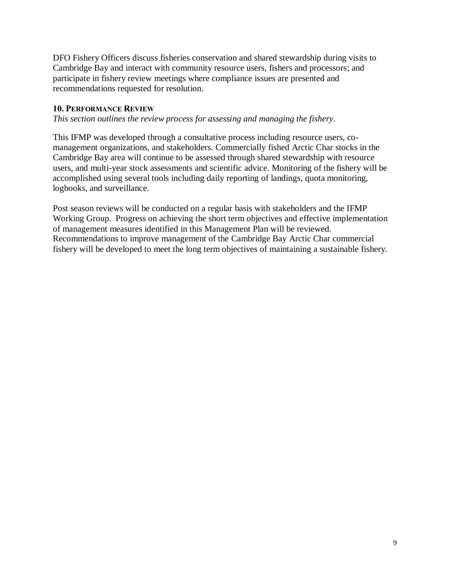DFO Fishery Officers discuss fisheries conservation and shared stewardship during visits to Cambridge Bay and interact with community resource users, fishers and processors; and participate in fishery review meetings where compliance issues are presented and recommendations requested for resolution.

# **10. PERFORMANCE REVIEW**

*This section outlines the review process for assessing and managing the fishery.* 

This IFMP was developed through a consultative process including resource users, comanagement organizations, and stakeholders. Commercially fished Arctic Char stocks in the Cambridge Bay area will continue to be assessed through shared stewardship with resource users, and multi-year stock assessments and scientific advice. Monitoring of the fishery will be accomplished using several tools including daily reporting of landings, quota monitoring, logbooks, and surveillance.

Post season reviews will be conducted on a regular basis with stakeholders and the IFMP Working Group. Progress on achieving the short term objectives and effective implementation of management measures identified in this Management Plan will be reviewed. Recommendations to improve management of the Cambridge Bay Arctic Char commercial fishery will be developed to meet the long term objectives of maintaining a sustainable fishery.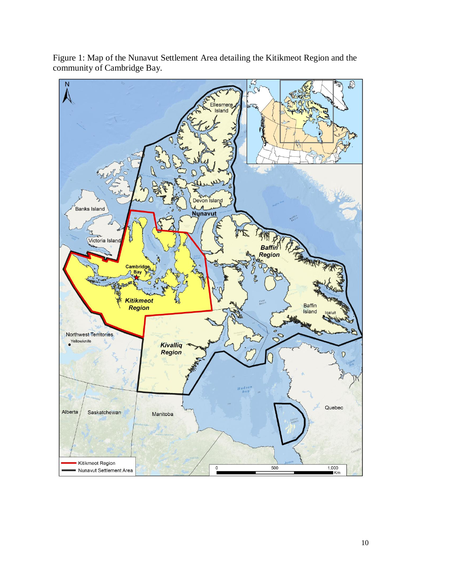

Figure 1: Map of the Nunavut Settlement Area detailing the Kitikmeot Region and the community of Cambridge Bay.